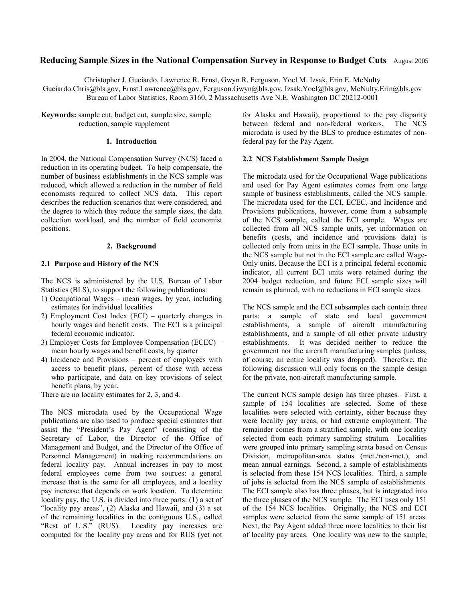# **Reducing Sample Sizes in the National Compensation Survey in Response to Budget Cuts** August 2005

Christopher J. Guciardo, Lawrence R. Ernst, Gwyn R. Ferguson, Yoel M. Izsak, Erin E. McNulty Guciardo.Chris@bls.gov, Ernst.Lawrence@bls.gov, Ferguson.Gwyn@bls.gov, Izsak.Yoel@bls.gov, McNulty.Erin@bls.gov Bureau of Labor Statistics, Room 3160, 2 Massachusetts Ave N.E. Washington DC 20212-0001

**Keywords:** sample cut, budget cut, sample size, sample reduction, sample supplement

#### **1. Introduction**

In 2004, the National Compensation Survey (NCS) faced a reduction in its operating budget. To help compensate, the number of business establishments in the NCS sample was reduced, which allowed a reduction in the number of field economists required to collect NCS data. This report describes the reduction scenarios that were considered, and the degree to which they reduce the sample sizes, the data collection workload, and the number of field economist positions.

### **2. Background**

# **2.1 Purpose and History of the NCS**

The NCS is administered by the U.S. Bureau of Labor Statistics (BLS), to support the following publications:

- 1) Occupational Wages mean wages, by year, including estimates for individual localities
- 2) Employment Cost Index (ECI) quarterly changes in hourly wages and benefit costs. The ECI is a principal federal economic indicator.
- 3) Employer Costs for Employee Compensation (ECEC) mean hourly wages and benefit costs, by quarter
- 4) Incidence and Provisions percent of employees with access to benefit plans, percent of those with access who participate, and data on key provisions of select benefit plans, by year.

There are no locality estimates for 2, 3, and 4.

The NCS microdata used by the Occupational Wage publications are also used to produce special estimates that assist the "President's Pay Agent" (consisting of the Secretary of Labor, the Director of the Office of Management and Budget, and the Director of the Office of Personnel Management) in making recommendations on federal locality pay. Annual increases in pay to most federal employees come from two sources: a general increase that is the same for all employees, and a locality pay increase that depends on work location. To determine locality pay, the U.S. is divided into three parts: (1) a set of "locality pay areas", (2) Alaska and Hawaii, and (3) a set of the remaining localities in the contiguous U.S., called "Rest of U.S." (RUS). Locality pay increases are computed for the locality pay areas and for RUS (yet not

for Alaska and Hawaii), proportional to the pay disparity between federal and non-federal workers. The NCS microdata is used by the BLS to produce estimates of nonfederal pay for the Pay Agent.

# **2.2 NCS Establishment Sample Design**

The microdata used for the Occupational Wage publications and used for Pay Agent estimates comes from one large sample of business establishments, called the NCS sample. The microdata used for the ECI, ECEC, and Incidence and Provisions publications, however, come from a subsample of the NCS sample, called the ECI sample. Wages are collected from all NCS sample units, yet information on benefits (costs, and incidence and provisions data) is collected only from units in the ECI sample. Those units in the NCS sample but not in the ECI sample are called Wage-Only units. Because the ECI is a principal federal economic indicator, all current ECI units were retained during the 2004 budget reduction, and future ECI sample sizes will remain as planned, with no reductions in ECI sample sizes.

The NCS sample and the ECI subsamples each contain three parts: a sample of state and local government establishments, a sample of aircraft manufacturing establishments, and a sample of all other private industry establishments. It was decided neither to reduce the government nor the aircraft manufacturing samples (unless, of course, an entire locality was dropped). Therefore, the following discussion will only focus on the sample design for the private, non-aircraft manufacturing sample.

The current NCS sample design has three phases. First, a sample of 154 localities are selected. Some of these localities were selected with certainty, either because they were locality pay areas, or had extreme employment. The remainder comes from a stratified sample, with one locality selected from each primary sampling stratum. Localities were grouped into primary sampling strata based on Census Division, metropolitan-area status (met./non-met.), and mean annual earnings. Second, a sample of establishments is selected from these 154 NCS localities. Third, a sample of jobs is selected from the NCS sample of establishments. The ECI sample also has three phases, but is integrated into the three phases of the NCS sample. The ECI uses only 151 of the 154 NCS localities. Originally, the NCS and ECI samples were selected from the same sample of 151 areas. Next, the Pay Agent added three more localities to their list of locality pay areas. One locality was new to the sample,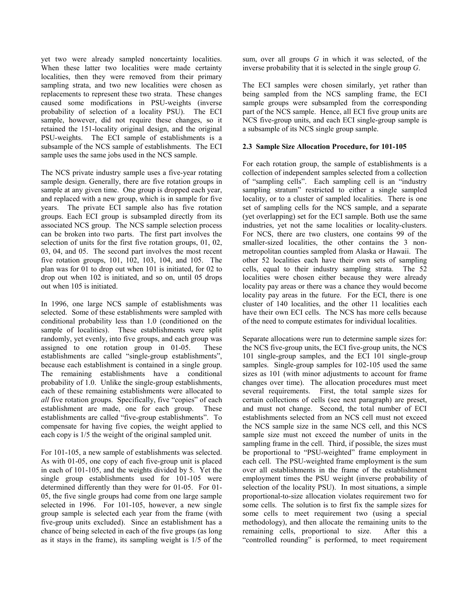yet two were already sampled noncertainty localities. When these latter two localities were made certainty localities, then they were removed from their primary sampling strata, and two new localities were chosen as replacements to represent these two strata. These changes caused some modifications in PSU-weights (inverse probability of selection of a locality PSU). The ECI sample, however, did not require these changes, so it retained the 151-locality original design, and the original PSU-weights. The ECI sample of establishments is a subsample of the NCS sample of establishments. The ECI sample uses the same jobs used in the NCS sample.

The NCS private industry sample uses a five-year rotating sample design. Generally, there are five rotation groups in sample at any given time. One group is dropped each year, and replaced with a new group, which is in sample for five years. The private ECI sample also has five rotation groups. Each ECI group is subsampled directly from its associated NCS group. The NCS sample selection process can be broken into two parts. The first part involves the selection of units for the first five rotation groups, 01, 02, 03, 04, and 05. The second part involves the most recent five rotation groups, 101, 102, 103, 104, and 105. The plan was for 01 to drop out when 101 is initiated, for 02 to drop out when 102 is initiated, and so on, until 05 drops out when 105 is initiated.

In 1996, one large NCS sample of establishments was selected. Some of these establishments were sampled with conditional probability less than 1.0 (conditioned on the sample of localities). These establishments were split randomly, yet evenly, into five groups, and each group was assigned to one rotation group in 01-05. These establishments are called "single-group establishments", because each establishment is contained in a single group. The remaining establishments have a conditional probability of 1.0. Unlike the single-group establishments, each of these remaining establishments were allocated to *all* five rotation groups. Specifically, five "copies" of each establishment are made, one for each group. These establishments are called "five-group establishments". To compensate for having five copies, the weight applied to each copy is 1/5 the weight of the original sampled unit.

For 101-105, a new sample of establishments was selected. As with 01-05, one copy of each five-group unit is placed in each of 101-105, and the weights divided by 5. Yet the single group establishments used for 101-105 were determined differently than they were for 01-05. For 01- 05, the five single groups had come from one large sample selected in 1996. For 101-105, however, a new single group sample is selected each year from the frame (with five-group units excluded). Since an establishment has a chance of being selected in each of the five groups (as long as it stays in the frame), its sampling weight is 1/5 of the

sum, over all groups *G* in which it was selected, of the inverse probability that it is selected in the single group *G*.

The ECI samples were chosen similarly, yet rather than being sampled from the NCS sampling frame, the ECI sample groups were subsampled from the corresponding part of the NCS sample. Hence, all ECI five group units are NCS five-group units, and each ECI single-group sample is a subsample of its NCS single group sample.

# **2.3 Sample Size Allocation Procedure, for 101-105**

For each rotation group, the sample of establishments is a collection of independent samples selected from a collection of "sampling cells". Each sampling cell is an "industry sampling stratum" restricted to either a single sampled locality, or to a cluster of sampled localities. There is one set of sampling cells for the NCS sample, and a separate (yet overlapping) set for the ECI sample. Both use the same industries, yet not the same localities or locality-clusters. For NCS, there are two clusters, one contains 99 of the smaller-sized localities, the other contains the 3 nonmetropolitan counties sampled from Alaska or Hawaii. The other 52 localities each have their own sets of sampling cells, equal to their industry sampling strata. The 52 localities were chosen either because they were already locality pay areas or there was a chance they would become locality pay areas in the future. For the ECI, there is one cluster of 140 localities, and the other 11 localities each have their own ECI cells. The NCS has more cells because of the need to compute estimates for individual localities.

Separate allocations were run to determine sample sizes for: the NCS five-group units, the ECI five-group units, the NCS 101 single-group samples, and the ECI 101 single-group samples. Single-group samples for 102-105 used the same sizes as 101 (with minor adjustments to account for frame changes over time). The allocation procedures must meet several requirements. First, the total sample sizes for certain collections of cells (see next paragraph) are preset, and must not change. Second, the total number of ECI establishments selected from an NCS cell must not exceed the NCS sample size in the same NCS cell, and this NCS sample size must not exceed the number of units in the sampling frame in the cell. Third, if possible, the sizes must be proportional to "PSU-weighted" frame employment in each cell. The PSU-weighted frame employment is the sum over all establishments in the frame of the establishment employment times the PSU weight (inverse probability of selection of the locality PSU). In most situations, a simple proportional-to-size allocation violates requirement two for some cells. The solution is to first fix the sample sizes for some cells to meet requirement two (using a special methodology), and then allocate the remaining units to the remaining cells, proportional to size. After this a "controlled rounding" is performed, to meet requirement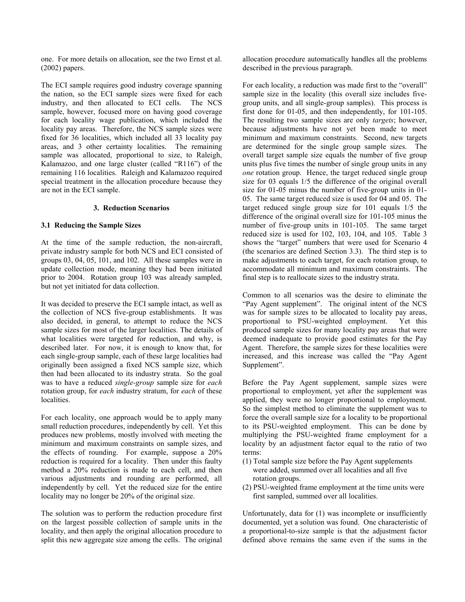one. For more details on allocation, see the two Ernst et al. (2002) papers.

The ECI sample requires good industry coverage spanning the nation, so the ECI sample sizes were fixed for each industry, and then allocated to ECI cells. The NCS sample, however, focused more on having good coverage for each locality wage publication, which included the locality pay areas. Therefore, the NCS sample sizes were fixed for 36 localities, which included all 33 locality pay areas, and 3 other certainty localities. The remaining sample was allocated, proportional to size, to Raleigh, Kalamazoo, and one large cluster (called "R116") of the remaining 116 localities. Raleigh and Kalamazoo required special treatment in the allocation procedure because they are not in the ECI sample.

# **3. Reduction Scenarios**

# **3.1 Reducing the Sample Sizes**

At the time of the sample reduction, the non-aircraft, private industry sample for both NCS and ECI consisted of groups 03, 04, 05, 101, and 102. All these samples were in update collection mode, meaning they had been initiated prior to 2004. Rotation group 103 was already sampled, but not yet initiated for data collection.

It was decided to preserve the ECI sample intact, as well as the collection of NCS five-group establishments. It was also decided, in general, to attempt to reduce the NCS sample sizes for most of the larger localities. The details of what localities were targeted for reduction, and why, is described later. For now, it is enough to know that, for each single-group sample, each of these large localities had originally been assigned a fixed NCS sample size, which then had been allocated to its industry strata. So the goal was to have a reduced *single-group* sample size for *each* rotation group, for *each* industry stratum, for *each* of these localities.

For each locality, one approach would be to apply many small reduction procedures, independently by cell. Yet this produces new problems, mostly involved with meeting the minimum and maximum constraints on sample sizes, and the effects of rounding. For example, suppose a 20% reduction is required for a locality. Then under this faulty method a 20% reduction is made to each cell, and then various adjustments and rounding are performed, all independently by cell. Yet the reduced size for the entire locality may no longer be 20% of the original size.

The solution was to perform the reduction procedure first on the largest possible collection of sample units in the locality, and then apply the original allocation procedure to split this new aggregate size among the cells. The original

allocation procedure automatically handles all the problems described in the previous paragraph.

For each locality, a reduction was made first to the "overall" sample size in the locality (this overall size includes fivegroup units, and all single-group samples). This process is first done for 01-05, and then independently, for 101-105. The resulting two sample sizes are only *targets*; however, because adjustments have not yet been made to meet minimum and maximum constraints. Second, new targets are determined for the single group sample sizes. The overall target sample size equals the number of five group units plus five times the number of single group units in any *one* rotation group. Hence, the target reduced single group size for 03 equals 1/5 the difference of the original overall size for 01-05 minus the number of five-group units in 01- 05. The same target reduced size is used for 04 and 05. The target reduced single group size for 101 equals 1/5 the difference of the original overall size for 101-105 minus the number of five-group units in 101-105. The same target reduced size is used for 102, 103, 104, and 105. Table 3 shows the "target" numbers that were used for Scenario 4 (the scenarios are defined Section 3.3). The third step is to make adjustments to each target, for each rotation group, to accommodate all minimum and maximum constraints. The final step is to reallocate sizes to the industry strata.

Common to all scenarios was the desire to eliminate the "Pay Agent supplement". The original intent of the NCS was for sample sizes to be allocated to locality pay areas, proportional to PSU-weighted employment. Yet this produced sample sizes for many locality pay areas that were deemed inadequate to provide good estimates for the Pay Agent. Therefore, the sample sizes for these localities were increased, and this increase was called the "Pay Agent Supplement".

Before the Pay Agent supplement, sample sizes were proportional to employment, yet after the supplement was applied, they were no longer proportional to employment. So the simplest method to eliminate the supplement was to force the overall sample size for a locality to be proportional to its PSU-weighted employment. This can be done by multiplying the PSU-weighted frame employment for a locality by an adjustment factor equal to the ratio of two terms:

- (1) Total sample size before the Pay Agent supplements were added, summed over all localities and all five rotation groups.
- (2) PSU-weighted frame employment at the time units were first sampled, summed over all localities.

Unfortunately, data for (1) was incomplete or insufficiently documented, yet a solution was found. One characteristic of a proportional-to-size sample is that the adjustment factor defined above remains the same even if the sums in the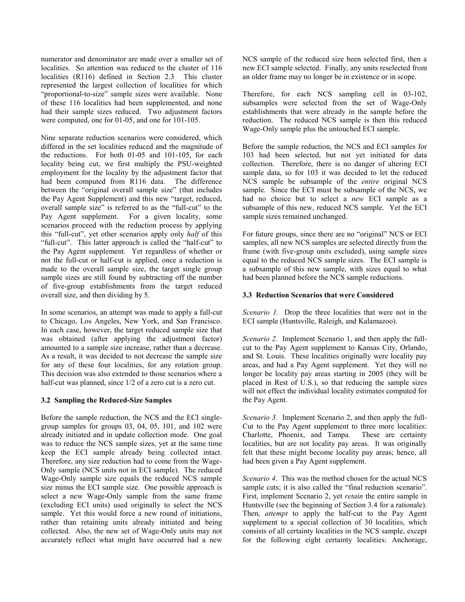numerator and denominator are made over a smaller set of localities. So attention was reduced to the cluster of 116 localities (R116) defined in Section 2.3 This cluster represented the largest collection of localities for which "proportional-to-size" sample sizes were available. None of these 116 localities had been supplemented, and none had their sample sizes reduced. Two adjustment factors were computed, one for 01-05, and one for 101-105.

Nine separate reduction scenarios were considered, which differed in the set localities reduced and the magnitude of the reductions. For both 01-05 and 101-105, for each locality being cut, we first multiply the PSU-weighted employment for the locality by the adjustment factor that had been computed from R116 data. The difference between the "original overall sample size" (that includes the Pay Agent Supplement) and this new "target, reduced, overall sample size" is referred to as the "full-cut" to the Pay Agent supplement. For a given locality, some scenarios proceed with the reduction process by applying this "full-cut", yet other scenarios apply only *half* of this "full-cut". This latter approach is called the "half-cut" to the Pay Agent supplement. Yet regardless of whether or not the full-cut or half-cut is applied, once a reduction is made to the overall sample size, the target single group sample sizes are still found by subtracting off the number of five-group establishments from the target reduced overall size, and then dividing by 5.

In some scenarios, an attempt was made to apply a full-cut to Chicago, Los Angeles, New York, and San Francisco. In each case, however, the target reduced sample size that was obtained (after applying the adjustment factor) amounted to a sample size increase, rather than a decrease. As a result, it was decided to not decrease the sample size for any of these four localities, for any rotation group. This decision was also extended to those scenarios where a half-cut was planned, since  $1/2$  of a zero cut is a zero cut.

# **3.2 Sampling the Reduced-Size Samples**

Before the sample reduction, the NCS and the ECI singlegroup samples for groups 03, 04, 05, 101, and 102 were already initiated and in update collection mode. One goal was to reduce the NCS sample sizes, yet at the same time keep the ECI sample already being collected intact. Therefore, any size reduction had to come from the Wage-Only sample (NCS units not in ECI sample). The reduced Wage-Only sample size equals the reduced NCS sample size minus the ECI sample size. One possible approach is select a new Wage-Only sample from the same frame (excluding ECI units) used originally to select the NCS sample. Yet this would force a new round of initiations, rather than retaining units already initiated and being collected. Also, the new set of Wage-Only units may not accurately reflect what might have occurred had a new

NCS sample of the reduced size been selected first, then a new ECI sample selected. Finally, any units reselected from an older frame may no longer be in existence or in scope.

Therefore, for each NCS sampling cell in 03-102, subsamples were selected from the set of Wage-Only establishments that were already in the sample before the reduction. The reduced NCS sample is then this reduced Wage-Only sample plus the untouched ECI sample.

Before the sample reduction, the NCS and ECI samples for 103 had been selected, but not yet initiated for data collection. Therefore, there is no danger of altering ECI sample data, so for 103 it was decided to let the reduced NCS sample be subsample of the *entire* original NCS sample. Since the ECI must be subsample of the NCS, we had no choice but to select a *new* ECI sample as a subsample of this new, reduced NCS sample. Yet the ECI sample sizes remained unchanged.

For future groups, since there are no "original" NCS or ECI samples, all new NCS samples are selected directly from the frame (with five-group units excluded), using sample sizes equal to the reduced NCS sample sizes. The ECI sample is a subsample of this new sample, with sizes equal to what had been planned before the NCS sample reductions.

# **3.3 Reduction Scenarios that were Considered**

*Scenario 1.* Drop the three localities that were not in the ECI sample (Huntsville, Raleigh, and Kalamazoo).

*Scenario 2.* Implement Scenario 1, and then apply the fullcut to the Pay Agent supplement to Kansas City, Orlando, and St. Louis. These localities originally were locality pay areas, and had a Pay Agent supplement. Yet they will no longer be locality pay areas starting in 2005 (they will be placed in Rest of U.S.), so that reducing the sample sizes will not effect the individual locality estimates computed for the Pay Agent.

*Scenario 3.* Implement Scenario 2, and then apply the full-Cut to the Pay Agent supplement to three more localities: Charlotte, Phoenix, and Tampa. These are certainty localities, but are not locality pay areas. It was originally felt that these might become locality pay areas; hence, all had been given a Pay Agent supplement.

*Scenario 4*. This was the method chosen for the actual NCS sample cuts; it is also called the "final reduction scenario". First, implement Scenario 2, yet *retain* the entire sample in Huntsville (see the beginning of Section 3.4 for a rationale). Then, *attempt* to apply the half-cut to the Pay Agent supplement to a special collection of 30 localities, which consists of all certainty localities in the NCS sample, except for the following eight certainty localities: Anchorage,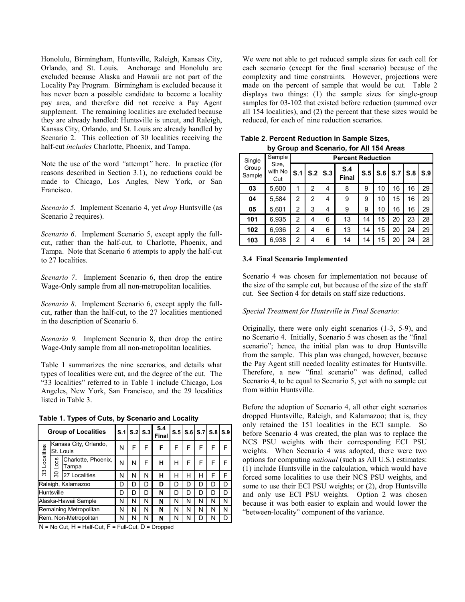Honolulu, Birmingham, Huntsville, Raleigh, Kansas City, Orlando, and St. Louis. Anchorage and Honolulu are excluded because Alaska and Hawaii are not part of the Locality Pay Program. Birmingham is excluded because it has never been a possible candidate to become a locality pay area, and therefore did not receive a Pay Agent supplement. The remaining localities are excluded because they are already handled: Huntsville is uncut, and Raleigh, Kansas City, Orlando, and St. Louis are already handled by Scenario 2. This collection of 30 localities receiving the half-cut *includes* Charlotte, Phoenix, and Tampa.

Note the use of the word *"*attempt*"* here. In practice (for reasons described in Section 3.1), no reductions could be made to Chicago, Los Angles, New York, or San Francisco.

*Scenario 5.* Implement Scenario 4, yet *drop* Huntsville (as Scenario 2 requires).

*Scenario 6*. Implement Scenario 5, except apply the fullcut, rather than the half-cut, to Charlotte, Phoenix, and Tampa. Note that Scenario 6 attempts to apply the half-cut to 27 localities.

*Scenario 7*. Implement Scenario 6, then drop the entire Wage-Only sample from all non-metropolitan localities.

*Scenario 8*. Implement Scenario 6, except apply the fullcut, rather than the half-cut, to the 27 localities mentioned in the description of Scenario 6.

*Scenario 9.* Implement Scenario 8, then drop the entire Wage-Only sample from all non-metropolitan localities.

Table 1 summarizes the nine scenarios, and details what types of localities were cut, and the degree of the cut. The "33 localities" referred to in Table 1 include Chicago, Los Angeles, New York, San Francisco, and the 29 localities listed in Table 3.

**Table 1. Types of Cuts, by Scenario and Locality**

|               | <b>Group of Localities</b> |                                                              |   | $S.1$ $S.2$ $S.3$ |   | S.4<br><b>Final</b> |                  |             | $S.5$ $S.6$ $S.7$ $S.8$ $S.9$ |   |   |
|---------------|----------------------------|--------------------------------------------------------------|---|-------------------|---|---------------------|------------------|-------------|-------------------------------|---|---|
|               |                            | Kansas City, Orlando,<br>St. Louis                           | N | F                 | F | F                   | F                | F           | F                             | F |   |
| 33 Localities | $-0$ CS                    | Charlotte, Phoenix,<br>Tampa                                 | N | N                 | F | н                   | н                | F           | F                             | F |   |
|               | ౚ                          | 27 Localities                                                | N | N                 | N | н                   | н                | н           | н                             | F | F |
|               |                            | Raleigh, Kalamazoo                                           | D | D                 | D | D                   | D                | D<br>D<br>D |                               |   | D |
| Huntsville    |                            |                                                              | D | D                 | D | N                   | D                | D           | D                             | D | n |
|               |                            | Alaska-Hawaii Sample<br>N<br>N<br>N<br>Ν<br>N<br>N<br>N<br>N |   |                   |   |                     |                  | N           |                               |   |   |
|               |                            | Remaining Metropolitan                                       | N | N                 | N | N                   | N<br>N<br>N<br>N |             |                               |   | N |
|               |                            | Rem. Non-Metropolitan                                        | N | N                 | N | N                   | N                | N           | D                             | N |   |

 $N = No$  Cut,  $H = Half-Cut$ ,  $F = Full-Cut$ ,  $D = Dropped$ 

We were not able to get reduced sample sizes for each cell for each scenario (except for the final scenario) because of the complexity and time constraints. However, projections were made on the percent of sample that would be cut. Table 2 displays two things: (1) the sample sizes for single-group samples for 03-102 that existed before reduction (summed over all 154 localities), and (2) the percent that these sizes would be reduced, for each of nine reduction scenarios.

| $\mathbf{v}$ , or our and occurring for $\mathbf{r}$ for $\mathbf{r}$ for $\mathbf{r}$ |                         |                          |                |           |                     |     |     |     |                                   |     |  |  |  |  |
|----------------------------------------------------------------------------------------|-------------------------|--------------------------|----------------|-----------|---------------------|-----|-----|-----|-----------------------------------|-----|--|--|--|--|
| Single                                                                                 | Sample                  | <b>Percent Reduction</b> |                |           |                     |     |     |     |                                   |     |  |  |  |  |
| Group<br>Sample                                                                        | Size,<br>with No<br>Cut | S.1                      |                | $S.2$ S.3 | S.4<br><b>Final</b> | S.5 | S.6 | S.7 | S.8<br>16<br>16<br>16<br>23<br>24 | S.9 |  |  |  |  |
| 03                                                                                     | 5,600                   | 1                        | $\overline{2}$ | 4         | 8                   | 9   | 10  | 16  |                                   | 29  |  |  |  |  |
| 04                                                                                     | 5,584                   | 2                        | 2              | 4         | 9                   | 9   | 10  | 15  |                                   | 29  |  |  |  |  |
| 05                                                                                     | 5,601                   | 2                        | 3              | 4         | 9                   | 9   | 10  | 16  |                                   | 29  |  |  |  |  |
| 101                                                                                    | 6.935                   | 2                        | 4              | 6         | 13                  | 14  | 15  | 20  |                                   | 28  |  |  |  |  |
| 102                                                                                    | 6,936                   | 2                        | 4              | 6         | 13                  | 14  | 15  | 20  |                                   | 29  |  |  |  |  |
| 103                                                                                    | 6,938                   | 2                        | 4              | 6         | 14                  | 14  | 15  | 20  | 24                                | 28  |  |  |  |  |

 **by Group and Scenario, for All 154 Areas Table 2. Percent Reduction in Sample Sizes,**

#### **3.4 Final Scenario Implemented**

Scenario 4 was chosen for implementation not because of the size of the sample cut, but because of the size of the staff cut. See Section 4 for details on staff size reductions.

# *Special Treatment for Huntsville in Final Scenario*:

Originally, there were only eight scenarios (1-3, 5-9), and no Scenario 4. Initially, Scenario 5 was chosen as the "final scenario"; hence, the initial plan was to drop Huntsville from the sample. This plan was changed, however, because the Pay Agent still needed locality estimates for Huntsville. Therefore, a new "final scenario" was defined, called Scenario 4, to be equal to Scenario 5, yet with no sample cut from within Huntsville.

Before the adoption of Scenario 4, all other eight scenarios dropped Huntsville, Raleigh, and Kalamazoo; that is, they only retained the 151 localities in the ECI sample. So before Scenario 4 was created, the plan was to replace the NCS PSU weights with their corresponding ECI PSU weights. When Scenario 4 was adopted, there were two options for computing *national* (such as All U.S.) estimates: (1) include Huntsville in the calculation, which would have forced some localities to use their NCS PSU weights, and some to use their ECI PSU weights; or (2), drop Huntsville and only use ECI PSU weights. Option 2 was chosen because it was both easier to explain and would lower the "between-locality" component of the variance.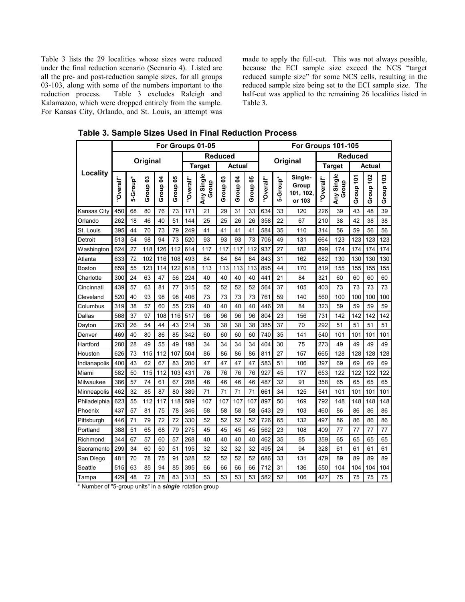Table 3 lists the 29 localities whose sizes were reduced under the final reduction scenario (Scenario 4). Listed are all the pre- and post-reduction sample sizes, for all groups 03-103, along with some of the numbers important to the reduction process. Table 3 excludes Raleigh and Kalamazoo, which were dropped entirely from the sample. For Kansas City, Orlando, and St. Louis, an attempt was

made to apply the full-cut. This was not always possible, because the ECI sample size exceed the NCS "target reduced sample size" for some NCS cells, resulting in the reduced sample size being set to the ECI sample size. The half-cut was applied to the remaining 26 localities listed in Table 3.

|                 | For Groups 01-05 |          |            |                     |          |                                |                     | For Groups 101-105  |                                |          |           |          |                                         |           |                     |           |           |           |
|-----------------|------------------|----------|------------|---------------------|----------|--------------------------------|---------------------|---------------------|--------------------------------|----------|-----------|----------|-----------------------------------------|-----------|---------------------|-----------|-----------|-----------|
|                 |                  |          |            |                     |          | <b>Reduced</b>                 |                     |                     |                                | Original |           |          | <b>Reduced</b>                          |           |                     |           |           |           |
|                 |                  |          | Original   |                     |          | <b>Target</b><br><b>Actual</b> |                     |                     | <b>Actual</b><br><b>Target</b> |          |           |          |                                         |           |                     |           |           |           |
| <b>Locality</b> | "Overall"        | 5-Group* | ຮ<br>Group | Group <sub>04</sub> | Group 05 | "Overall"                      | Any Single<br>Group | Group <sub>03</sub> | Group <sub>04</sub>            | Group 05 | "Overall" | 5-Group* | Single-<br>Group<br>101, 102,<br>or 103 | "Overall" | Any Single<br>Group | Group 101 | Group 102 | Group 103 |
| Kansas City     | 450              | 68       | 80         | 76                  | 73       | 171                            | 21                  | 29                  | 31                             | 33       | 634       | 33       | 120                                     | 226       | 39                  | 43        | 48        | 39        |
| Orlando         | 262              | 18       | 46         | 40                  | 51       | 144                            | 25                  | 25                  | 26                             | 26       | 358       | 22       | 67                                      | 210       | 38                  | 42        | 38        | 38        |
| St. Louis       | 395              | 44       | 70         | 73                  | 79       | 249                            | 41                  | 41                  | 41                             | 41       | 584       | 35       | 110                                     | 314       | 56                  | 59        | 56        | 56        |
| Detroit         | 513              | 54       | 98         | 94                  | 73       | 520                            | 93                  | 93                  | 93                             | 73       | 706       | 49       | 131                                     | 664       | 123                 | 123       | 123       | 123       |
| Washington      | 624              | 27       | 118        | 126                 | 112      | 614                            | 117                 | 117                 | 117                            | 112      | 937       | 27       | 182                                     | 899       | 174                 | 174       | 174       | 174       |
| Atlanta         | 633              | 72       | 102        | 116                 | 108      | 493                            | 84                  | 84                  | 84                             | 84       | 843       | 31       | 162                                     | 682       | 130                 | 130       | 130       | 130       |
| Boston          | 659              | 55       | 123        | 114                 | 122      | 618                            | 113                 | 113                 | 113                            | 113      | 895       | 44       | 170                                     | 819       | 155                 | 155       | 155       | 155       |
| Charlotte       | 300              | 24       | 63         | 47                  | 56       | 224                            | 40                  | 40                  | 40                             | 40       | 441       | 21       | 84                                      | 321       | 60                  | 60        | 60        | 60        |
| Cincinnati      | 439              | 57       | 63         | 81                  | 77       | 315                            | 52                  | 52                  | 52                             | 52       | 564       | 37       | 105                                     | 403       | 73                  | 73        | 73        | 73        |
| Cleveland       | 520              | 40       | 93         | 98                  | 98       | 406                            | 73                  | 73                  | 73                             | 73       | 761       | 59       | 140                                     | 560       | 100                 | 100       | 100       | 100       |
| Columbus        | 319              | 38       | 57         | 60                  | 55       | 239                            | 40                  | 40                  | 40                             | 40       | 446       | 28       | 84                                      | 323       | 59                  | 59        | 59        | 59        |
| Dallas          | 568              | 37       | 97         | 108                 | 116      | 517                            | 96                  | 96                  | 96                             | 96       | 804       | 23       | 156                                     | 731       | 142                 | 142       | 142       | 142       |
| Dayton          | 263              | 26       | 54         | 44                  | 43       | 214                            | 38                  | 38                  | 38                             | 38       | 385       | 37       | 70                                      | 292       | 51                  | 51        | 51        | 51        |
| Denver          | 469              | 40       | 80         | 86                  | 85       | 342                            | 60                  | 60                  | 60                             | 60       | 740       | 35       | 141                                     | 540       | 101                 | 101       | 101       | 101       |
| Hartford        | 280              | 28       | 49         | 55                  | 49       | 198                            | 34                  | 34                  | 34                             | 34       | 404       | 30       | 75                                      | 273       | 49                  | 49        | 49        | 49        |
| Houston         | 626              | 73       | 115        | 112                 | 107      | 504                            | 86                  | 86                  | 86                             | 86       | 811       | 27       | 157                                     | 665       | 128                 | 128       | 128       | 128       |
| Indianapolis    | 400              | 43       | 62         | 67                  | 83       | 280                            | 47                  | 47                  | 47                             | 47       | 583       | 51       | 106                                     | 397       | 69                  | 69        | 69        | 69        |
| Miami           | 582              | 50       | 115        | 112                 | 103      | 431                            | 76                  | 76                  | 76                             | 76       | 927       | 45       | 177                                     | 653       | 122                 | 122       | 122       | 122       |
| Milwaukee       | 386              | 57       | 74         | 61                  | 67       | 288                            | 46                  | 46                  | 46                             | 46       | 487       | 32       | 91                                      | 358       | 65                  | 65        | 65        | 65        |
| Minneapolis     | 462              | 32       | 85         | 87                  | 80       | 389                            | 71                  | 71                  | 71                             | 71       | 661       | 34       | 125                                     | 541       | 101                 | 101       | 101       | 101       |
| Philadelphia    | 623              | 55       | 112        | 117                 | 118      | 589                            | 107                 | 107                 | 107                            | 107      | 897       | 50       | 169                                     | 792       | 148                 | 148       | 148       | 148       |
| Phoenix         | 437              | 57       | 81         | 75                  | 78       | 346                            | 58                  | 58                  | 58                             | 58       | 543       | 29       | 103                                     | 460       | 86                  | 86        | 86        | 86        |
| Pittsburgh      | 446              | 71       | 79         | 72                  | 72       | 330                            | 52                  | 52                  | 52                             | 52       | 726       | 65       | 132                                     | 497       | 86                  | 86        | 86        | 86        |
| Portland        | 388              | 51       | 65         | 68                  | 79       | 275                            | 45                  | 45                  | 45                             | 45       | 562       | 23       | 108                                     | 409       | 77                  | 77        | 77        | 77        |
| Richmond        | 344              | 67       | 57         | 60                  | 57       | 268                            | 40                  | 40                  | 40                             | 40       | 462       | 35       | 85                                      | 359       | 65                  | 65        | 65        | 65        |
| Sacramento      | 299              | 34       | 60         | 50                  | 51       | 195                            | 32                  | 32                  | 32                             | 32       | 495       | 24       | 94                                      | 328       | 61                  | 61        | 61        | 61        |
| San Diego       | 481              | 70       | 78         | 75                  | 91       | 328                            | 52                  | 52                  | 52                             | 52       | 686       | 33       | 131                                     | 479       | 89                  | 89        | 89        | 89        |
| Seattle         | 515              | 63       | 85         | 94                  | 85       | 395                            | 66                  | 66                  | 66                             | 66       | 712       | 31       | 136                                     | 550       | 104                 | 104       | 104       | 104       |
| Tampa           | 429              | 48       | 72         | 78                  | 83       | 313                            | 53                  | 53                  | 53                             | 53       | 582       | 52       | 106                                     | 427       | 75                  | 75        | 75        | 75        |

**Table 3. Sample Sizes Used in Final Reduction Process**

\* Number of "5-group units" in a *single* rotation group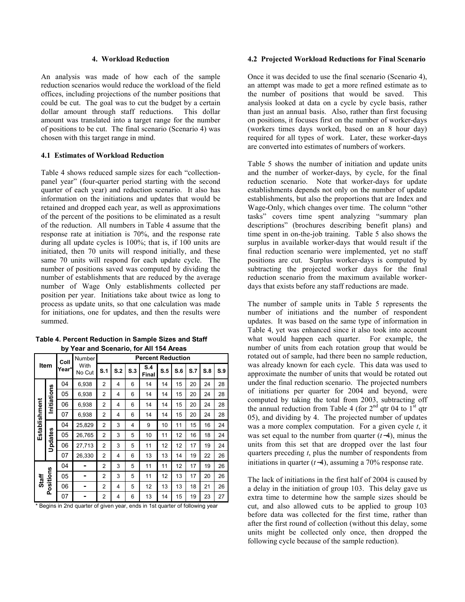### **4. Workload Reduction**

An analysis was made of how each of the sample reduction scenarios would reduce the workload of the field offices, including projections of the number positions that could be cut. The goal was to cut the budget by a certain dollar amount through staff reductions. This dollar amount was translated into a target range for the number of positions to be cut. The final scenario (Scenario 4) was chosen with this target range in mind.

### **4.1 Estimates of Workload Reduction**

Table 4 shows reduced sample sizes for each "collectionpanel year" (four-quarter period starting with the second quarter of each year) and reduction scenario. It also has information on the initiations and updates that would be retained and dropped each year, as well as approximations of the percent of the positions to be eliminated as a result of the reduction. All numbers in Table 4 assume that the response rate at initiation is 70%, and the response rate during all update cycles is 100%; that is, if 100 units are initiated, then 70 units will respond initially, and these same 70 units will respond for each update cycle. The number of positions saved was computed by dividing the number of establishments that are reduced by the average number of Wage Only establishments collected per position per year. Initiations take about twice as long to process as update units, so that one calculation was made for initiations, one for updates, and then the results were summed.

|               |             | Coll  | <b>Number</b>                                                                |                |     |     | <b>Percent Reduction</b> |     |     | S.7<br>20<br>20<br>20<br>20<br>15<br>16<br>17<br>19<br>17<br>17 |                                                                                         |     |
|---------------|-------------|-------|------------------------------------------------------------------------------|----------------|-----|-----|--------------------------|-----|-----|-----------------------------------------------------------------|-----------------------------------------------------------------------------------------|-----|
|               | Item        | Year* | With<br>No Cut                                                               | S.1            | S.2 | S.3 | <b>S.4</b><br>Final      | S.5 | S.6 |                                                                 | S.8<br>24<br>24<br>24<br>24<br>16<br>18<br>19<br>22<br>19<br>20<br>18<br>21<br>19<br>23 | S.9 |
|               |             | 04    | 6,938                                                                        | $\overline{2}$ | 4   | 6   | 14                       | 14  | 15  |                                                                 |                                                                                         | 28  |
|               | Initiations | 05    | 6,938                                                                        | $\overline{2}$ | 4   | 6   | 14                       | 14  | 15  |                                                                 |                                                                                         | 28  |
|               |             | 06    | 6,938                                                                        | $\overline{2}$ | 4   | 6   | 14                       | 14  | 15  |                                                                 |                                                                                         | 28  |
|               |             | 07    | 6,938                                                                        | 2              | 4   | 6   | 14                       | 14  | 15  |                                                                 |                                                                                         | 28  |
| Establishment | Updates     | 04    | 25,829                                                                       | $\overline{2}$ | 3   | 4   | 9                        | 10  | 11  |                                                                 |                                                                                         | 24  |
|               |             | 05    | 26,765                                                                       | $\overline{2}$ | 3   | 5   | 10                       | 11  | 12  |                                                                 |                                                                                         | 24  |
|               |             | 06    | 27,713                                                                       | $\overline{2}$ | 3   | 5   | 11                       | 12  | 12  |                                                                 |                                                                                         | 24  |
|               |             | 07    | 26,330                                                                       | 2              | 4   | 6   | 13                       | 13  | 14  |                                                                 |                                                                                         | 26  |
|               |             | 04    |                                                                              | $\overline{2}$ | 3   | 5   | 11                       | 11  | 12  |                                                                 |                                                                                         | 26  |
| Staff         |             | 05    |                                                                              | $\overline{2}$ | 3   | 5   | 11                       | 12  | 13  |                                                                 |                                                                                         | 26  |
|               | Positions   | 06    |                                                                              | $\overline{2}$ | 4   | 5   | 12                       | 13  | 13  |                                                                 |                                                                                         | 26  |
|               |             | 07    |                                                                              | 2              | 4   | 6   | 13                       | 14  | 15  |                                                                 |                                                                                         | 27  |
|               |             |       | * Begins in 2nd quarter of given year, ends in 1st quarter of following year |                |     |     |                          |     |     |                                                                 |                                                                                         |     |

**Table 4. Percent Reduction in Sample Sizes and Staff by Year and Scenario, for All 154 Areas**

#### **4.2 Projected Workload Reductions for Final Scenario**

Once it was decided to use the final scenario (Scenario 4), an attempt was made to get a more refined estimate as to the number of positions that would be saved. This analysis looked at data on a cycle by cycle basis, rather than just an annual basis. Also, rather than first focusing on positions, it focuses first on the number of worker-days (workers times days worked, based on an 8 hour day) required for all types of work. Later, these worker-days are converted into estimates of numbers of workers.

Table 5 shows the number of initiation and update units and the number of worker-days, by cycle, for the final reduction scenario. Note that worker-days for update establishments depends not only on the number of update establishments, but also the proportions that are Index and Wage-Only, which changes over time. The column "other tasks" covers time spent analyzing "summary plan descriptions" (brochures describing benefit plans) and time spent in on-the-job training. Table 5 also shows the surplus in available worker-days that would result if the final reduction scenario were implemented, yet no staff positions are cut. Surplus worker-days is computed by subtracting the projected worker days for the final reduction scenario from the maximum available workerdays that exists before any staff reductions are made.

The number of sample units in Table 5 represents the number of initiations and the number of respondent updates. It was based on the same type of information in Table 4, yet was enhanced since it also took into account what would happen each quarter. For example, the number of units from each rotation group that would be rotated out of sample, had there been no sample reduction, was already known for each cycle. This data was used to approximate the number of units that would be rotated out under the final reduction scenario. The projected numbers of initiations per quarter for 2004 and beyond, were computed by taking the total from 2003, subtracting off the annual reduction from Table 4 (for  $2<sup>nd</sup>$  qtr 04 to  $1<sup>st</sup>$  qtr 05), and dividing by 4. The projected number of updates was a more complex computation. For a given cycle *t*, it was set equal to the number from quarter (*t*−4), minus the units from this set that are dropped over the last four quarters preceding *t*, plus the number of respondents from initiations in quarter (*t*−4), assuming a 70% response rate.

The lack of initiations in the first half of 2004 is caused by a delay in the initiation of group 103. This delay gave us extra time to determine how the sample sizes should be cut, and also allowed cuts to be applied to group 103 before data was collected for the first time, rather than after the first round of collection (without this delay, some units might be collected only once, then dropped the following cycle because of the sample reduction).